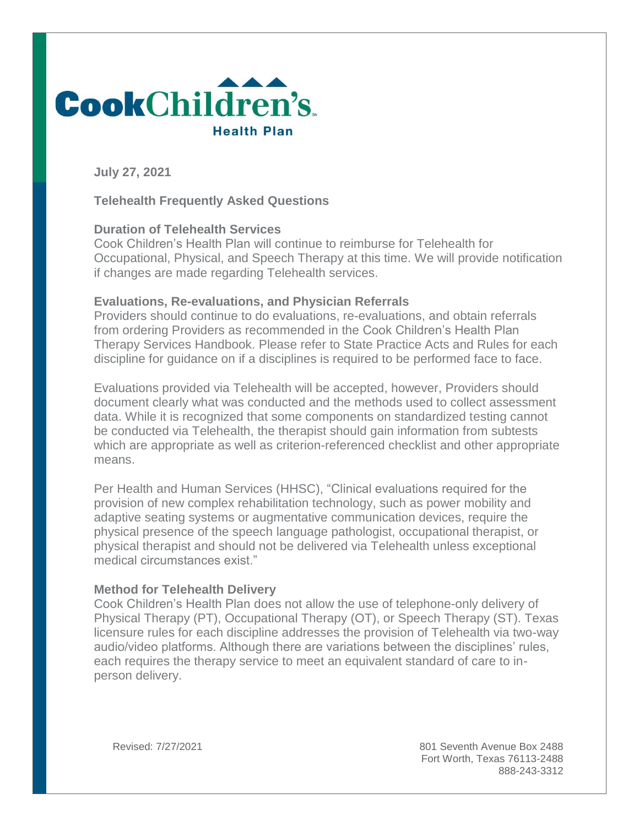

**July 27, 2021**

# **Telehealth Frequently Asked Questions**

#### **Duration of Telehealth Services**

Cook Children's Health Plan will continue to reimburse for Telehealth for Occupational, Physical, and Speech Therapy at this time. We will provide notification if changes are made regarding Telehealth services.

#### **Evaluations, Re-evaluations, and Physician Referrals**

Providers should continue to do evaluations, re-evaluations, and obtain referrals from ordering Providers as recommended in the Cook Children's Health Plan Therapy Services Handbook. Please refer to State Practice Acts and Rules for each discipline for guidance on if a disciplines is required to be performed face to face.

Evaluations provided via Telehealth will be accepted, however, Providers should document clearly what was conducted and the methods used to collect assessment data. While it is recognized that some components on standardized testing cannot be conducted via Telehealth, the therapist should gain information from subtests which are appropriate as well as criterion-referenced checklist and other appropriate means.

Per Health and Human Services (HHSC), "Clinical evaluations required for the provision of new complex rehabilitation technology, such as power mobility and adaptive seating systems or augmentative communication devices, require the physical presence of the speech language pathologist, occupational therapist, or physical therapist and should not be delivered via Telehealth unless exceptional medical circumstances exist."

### **Method for Telehealth Delivery**

Cook Children's Health Plan does not allow the use of telephone-only delivery of Physical Therapy (PT), Occupational Therapy (OT), or Speech Therapy (ST). Texas licensure rules for each discipline addresses the provision of Telehealth via two-way audio/video platforms. Although there are variations between the disciplines' rules, each requires the therapy service to meet an equivalent standard of care to inperson delivery.

Revised: 7/27/2021 801 Seventh Avenue Box 2488 Fort Worth, Texas 76113-2488 888-243-3312